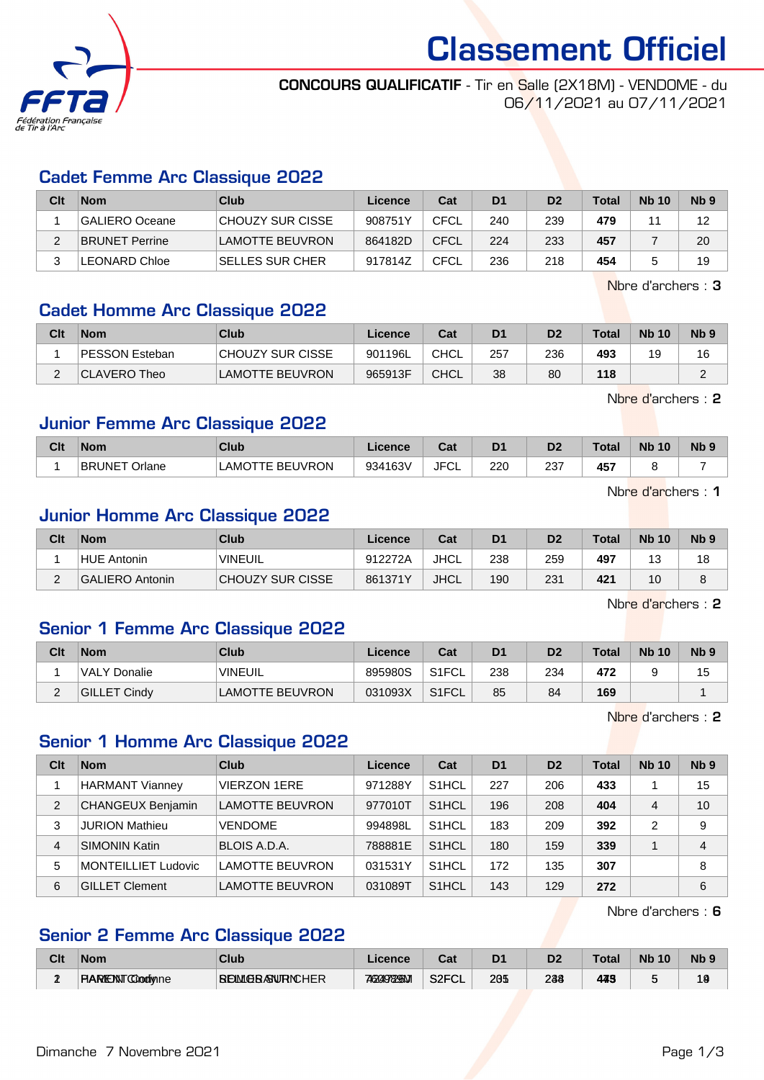

Classement Officiel

#### CONCOURS QUALIFICATIF - Tir en Salle (2X18M) - VENDOME - du 06/11/2021 au 07/11/2021

#### Cadet Femme Arc Classique 2022

| Clt | <b>Nom</b>            | Club                   | Licence | Cat  | D <sub>1</sub> | D <sub>2</sub> | <b>Total</b> | <b>Nb 10</b> | N <sub>b</sub> <sub>9</sub> |
|-----|-----------------------|------------------------|---------|------|----------------|----------------|--------------|--------------|-----------------------------|
|     | GALIERO Oceane        | CHOUZY SUR CISSE       | 908751Y | CFCL | 240            | 239            | 479          |              | 12                          |
| ົ   | <b>BRUNET Perrine</b> | <b>LAMOTTE BEUVRON</b> | 864182D | CFCL | 224            | 233            | 457          |              | 20                          |
|     | <b>LEONARD Chloe</b>  | ⊺SELLES SUR CHER       | 917814Z | CFCL | 236            | 218            | 454          |              | 19                          |

Nbre d'archers : 3

#### Cadet Homme Arc Classique 2022

| Clt | <b>Nom</b>     | Club                   | Licence | Cat         | D <sub>1</sub> | D <sub>2</sub> | Total | <b>Nb 10</b> | Nb <sub>9</sub> |
|-----|----------------|------------------------|---------|-------------|----------------|----------------|-------|--------------|-----------------|
|     | PESSON Esteban | CHOUZY SUR CISSE       | 901196L | <b>CHCL</b> | 257            | 236            | 493   | 19           | 16              |
| ⌒   | CLAVERO Theo   | <b>LAMOTTE BEUVRON</b> | 965913F | <b>CHCL</b> | 38             | 80             | 118   |              | $\sim$          |

Nbre d'archers : 2

#### Junior Femme Arc Classique 2022

| Clt | <b>Nom</b>              | <b>Club</b>            | Licence | Cat         | n.  | D <sub>2</sub> | <b>Total</b> | <b>Nb</b><br>10 | N <sub>b</sub> 9 |
|-----|-------------------------|------------------------|---------|-------------|-----|----------------|--------------|-----------------|------------------|
|     | <b>BRUNET</b><br>Orlane | <b>LAMOTTE BEUVRON</b> | 934163V | JFC'<br>−∪∟ | 220 | つつつ<br>∠∪      | 457          |                 |                  |

Nbre d'archers : 1

#### Junior Homme Arc Classique 2022

| Clt | <b>Nom</b>         | Club             | Licence | Cat  | D <sub>1</sub> | D <sub>2</sub> | <b>Total</b> | <b>Nb 10</b>  | N <sub>b</sub> <sub>9</sub> |
|-----|--------------------|------------------|---------|------|----------------|----------------|--------------|---------------|-----------------------------|
|     | <b>HUE Antonin</b> | <b>VINEUIL</b>   | 912272A | JHCL | 238            | 259            | 497          | $\Delta$<br>N | 18                          |
| ▃   | GALIERO Antonin    | CHOUZY SUR CISSE | 861371Y | JHCL | 190            | 231            | 421          | 10            |                             |

Nbre d'archers : 2

#### Senior 1 Femme Arc Classique 2022

| Clt      | <b>Nom</b>          | <b>Club</b>            | Licence | Cat                | D1  | D <sub>2</sub> | <b>Total</b> | <b>Nb 10</b> | N <sub>b</sub> <sub>9</sub> |
|----------|---------------------|------------------------|---------|--------------------|-----|----------------|--------------|--------------|-----------------------------|
|          | <b>VALY Donalie</b> | <b>VINEUIL</b>         | 895980S | S1FCL              | 238 | 234            | 472          |              | 15                          |
| <u>_</u> | <b>GILLET Cindy</b> | <b>LAMOTTE BEUVRON</b> | 031093X | S <sub>1</sub> FCL | 85  | 84             | 169          |              |                             |

Nbre d'archers : 2

### Senior 1 Homme Arc Classique 2022

| <b>Nom</b>                 | Club                   | Licence | Cat                | D <sub>1</sub> | D <sub>2</sub> | Total | <b>Nb 10</b> | Nb <sub>9</sub> |
|----------------------------|------------------------|---------|--------------------|----------------|----------------|-------|--------------|-----------------|
| <b>HARMANT Vianney</b>     | <b>VIERZON 1ERE</b>    | 971288Y | S <sub>1</sub> HCL | 227            | 206            | 433   |              | 15              |
| <b>CHANGEUX Benjamin</b>   | <b>LAMOTTE BEUVRON</b> | 977010T | S <sub>1</sub> HCL | 196            | 208            | 404   | 4            | 10              |
| <b>JURION Mathieu</b>      | <b>VENDOME</b>         | 994898L | S <sub>1</sub> HCL | 183            | 209            | 392   | 2            | 9               |
| <b>SIMONIN Katin</b>       | BLOIS A.D.A.           | 788881E | S <sub>1</sub> HCL | 180            | 159            | 339   |              | 4               |
| <b>MONTEILLIET Ludovic</b> | <b>LAMOTTE BEUVRON</b> | 031531Y | S <sub>1</sub> HCL | 172            | 135            | 307   |              | 8               |
| <b>GILLET Clement</b>      | <b>LAMOTTE BEUVRON</b> | 031089T | S <sub>1</sub> HCL | 143            | 129            | 272   |              | 6               |
|                            |                        |         |                    |                |                |       |              |                 |

Nbre d'archers : 6

# Senior 2 Femme Arc Classique 2022

| Clt | Nom                       | <b>Club</b>             | <b>Licence</b>  | $R_{\rm{min}}$<br>ual | D <sub>1</sub> | D2  | <b>Total</b> | <b>Nb</b><br>10 | Nb S |
|-----|---------------------------|-------------------------|-----------------|-----------------------|----------------|-----|--------------|-----------------|------|
| д.  | <b>FIARIENT COodivine</b> | <b>BEMLGBASNURNCHER</b> | <b>7629929M</b> | S <sub>2</sub> FCL    | 205            | 238 | 449          |                 | 19   |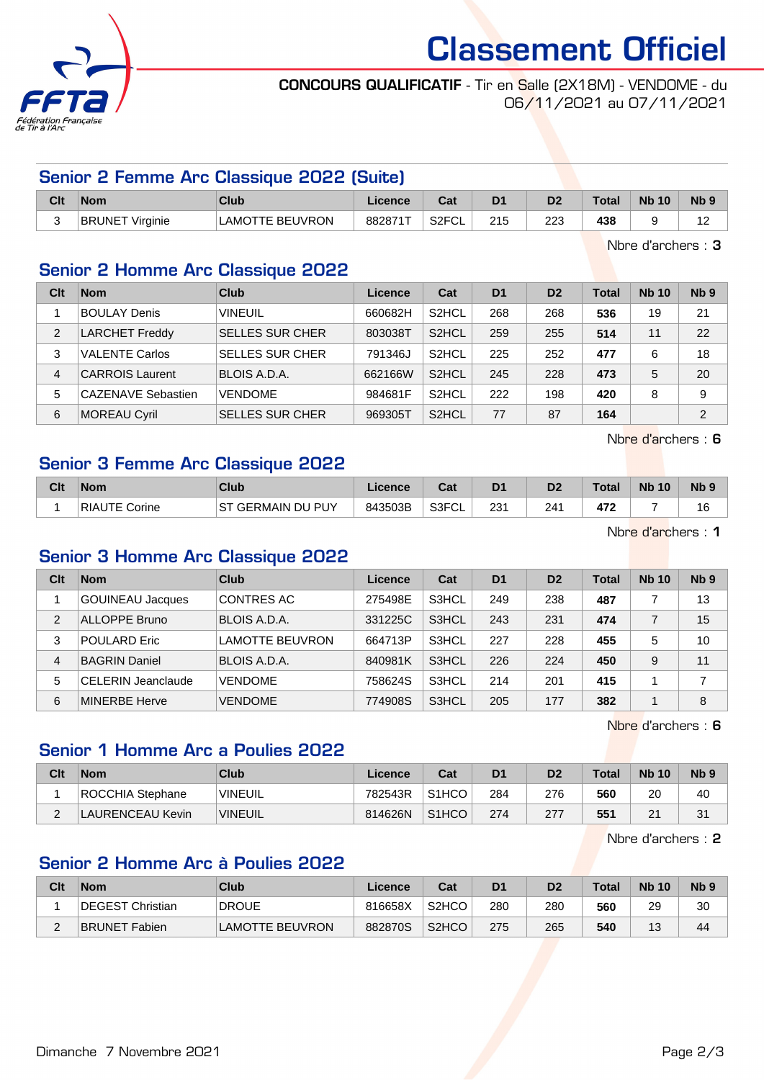

# Classement Officiel

#### CONCOURS QUALIFICATIF - Tir en Salle (2X18M) - VENDOME - du 06/11/2021 au 07/11/2021

|     |                        | Senior 2 Femme Arc Classique 2022 (Suite) |         |         |                |                |       |              |                 |
|-----|------------------------|-------------------------------------------|---------|---------|----------------|----------------|-------|--------------|-----------------|
| Clt | <b>Nom</b>             | Club                                      | Licence | Cat     | D <sub>1</sub> | D <sub>2</sub> | Total | <b>Nb 10</b> | Nb <sub>9</sub> |
|     | <b>BRUNET Virginie</b> | LAMOTTE BEUVRON                           | 882871T | S2FCL I | 215            | 223            | 438   |              | 12              |

Nbre d'archers : 3

# Senior 2 Homme Arc Classique 2022

| Clt | <b>Nom</b>                | Club                   | Licence | Cat                | D <sub>1</sub> | D <sub>2</sub> | Total | <b>Nb 10</b> | Nb <sub>9</sub> |
|-----|---------------------------|------------------------|---------|--------------------|----------------|----------------|-------|--------------|-----------------|
|     | <b>BOULAY Denis</b>       | <b>VINEUIL</b>         | 660682H | S <sub>2</sub> HCL | 268            | 268            | 536   | 19           | 21              |
| 2   | <b>LARCHET Freddy</b>     | <b>SELLES SUR CHER</b> | 803038T | S <sub>2</sub> HCL | 259            | 255            | 514   | 11           | 22              |
| 3   | <b>VALENTE Carlos</b>     | <b>SELLES SUR CHER</b> | 791346J | S <sub>2</sub> HCL | 225            | 252            | 477   | 6            | 18              |
| 4   | <b>CARROIS Laurent</b>    | BLOIS A.D.A.           | 662166W | S <sub>2</sub> HCL | 245            | 228            | 473   | 5            | 20              |
| 5   | <b>CAZENAVE Sebastien</b> | <b>VENDOME</b>         | 984681F | S <sub>2</sub> HCL | 222            | 198            | 420   | 8            | 9               |
| 6   | MOREAU Cyril              | <b>SELLES SUR CHER</b> | 969305T | S <sub>2</sub> HCL | 77             | 87             | 164   |              | $\overline{2}$  |

Nbre d'archers : 6

## Senior 3 Femme Arc Classique 2022

| Clt | <b>Nom</b>         | Club                                           | Licence | <b>Take</b><br>⊍d | D <sub>1</sub> | D2  | $\tau$ otal                     | <b>N<sub>b</sub></b><br>10 | N <sub>b</sub> <sub>9</sub> |
|-----|--------------------|------------------------------------------------|---------|-------------------|----------------|-----|---------------------------------|----------------------------|-----------------------------|
|     | RIAUTE C<br>Corine | <b>GERMAIN DU PUY</b><br>$_{\text{CT}}$<br>ا ت | 843503B | S3FCL             | 231            | 241 | 47 <sup>o</sup><br>- <b>1 A</b> |                            | 16                          |

Nbre d'archers : 1

#### Senior 3 Homme Arc Classique 2022

| Clt            | <b>Nom</b>              | Club                   | Licence | Cat   | D <sub>1</sub> | D <sub>2</sub> | Total | <b>Nb 10</b> | Nb <sub>9</sub> |
|----------------|-------------------------|------------------------|---------|-------|----------------|----------------|-------|--------------|-----------------|
|                | <b>GOUINEAU Jacques</b> | CONTRES AC             | 275498E | S3HCL | 249            | 238            | 487   |              | 13              |
| $\overline{2}$ | ALLOPPE Bruno           | BLOIS A.D.A.           | 331225C | S3HCL | 243            | 231            | 474   |              | 15              |
| 3              | POULARD Eric            | <b>LAMOTTE BEUVRON</b> | 664713P | S3HCL | 227            | 228            | 455   | 5            | 10              |
| 4              | <b>BAGRIN Daniel</b>    | BLOIS A.D.A.           | 840981K | S3HCL | 226            | 224            | 450   | 9            | 11              |
| 5              | CELERIN Jeanclaude      | <b>VENDOME</b>         | 758624S | S3HCL | 214            | 201            | 415   |              |                 |
| 6              | <b>MINERBE Herve</b>    | <b>VENDOME</b>         | 774908S | S3HCL | 205            | 177            | 382   |              | 8               |

Nbre d'archers : 6

#### Senior 1 Homme Arc a Poulies 2022

| Clt         | <b>Nom</b>       | <b>Club</b>    | Licence | Cat                | D1  | D2  | Total | <b>Nb 10</b> | N <sub>b</sub> <sub>9</sub> |
|-------------|------------------|----------------|---------|--------------------|-----|-----|-------|--------------|-----------------------------|
|             | ROCCHIA Stephane | <b>VINEUIL</b> | 782543R | S <sub>1</sub> HCO | 284 | 276 | 560   | 20           | 40                          |
| $\sim$<br>∼ | LAURENCEAU Kevin | VINEUIL        | 814626N | S <sub>1</sub> HCO | 274 | 277 | 551   | <u>_</u>     | 31                          |

Nbre d'archers : 2

## Senior 2 Homme Arc à Poulies 2022

| Clt | <b>Nom</b>           | <b>Club</b>            | ∟icence | Cat                | D <sub>1</sub> | D2  | <b>Total</b> | <b>Nb 10</b> | N <sub>b</sub> <sub>9</sub> |
|-----|----------------------|------------------------|---------|--------------------|----------------|-----|--------------|--------------|-----------------------------|
|     | DEGEST Christian     | <b>DROUE</b>           | 816658X | S <sub>2</sub> HCO | 280            | 280 | 560          | 29           | 30                          |
| -   | <b>BRUNET Fabien</b> | <b>LAMOTTE BEUVRON</b> | 882870S | S <sub>2</sub> HCO | 275            | 265 | 540          | $\Lambda$    | 44                          |